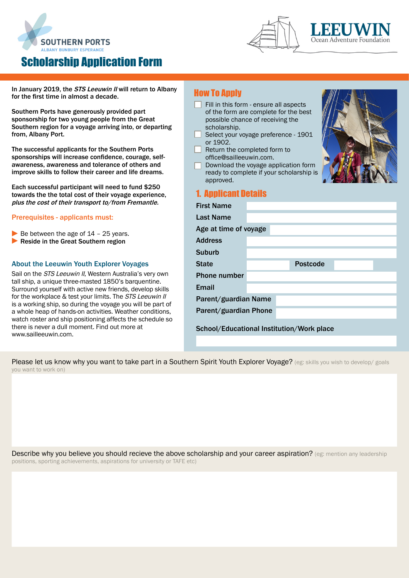

# Scholarship Application Form





In January 2019, the STS Leeuwin II will return to Albany for the first time in almost a decade.

Southern Ports have generously provided part sponsorship for two young people from the Great Southern region for a voyage arriving into, or departing from, Albany Port.

The successful applicants for the Southern Ports sponsorships will increase confidence, courage, selfawareness, awareness and tolerance of others and improve skills to follow their career and life dreams.

Each successful participant will need to fund \$250 towards the the total cost of their voyage experience, plus the cost of their transport to/from Fremantle.

### Prerequisites - applicants must:

- $\blacktriangleright$  Be between the age of  $14$  25 years.
- ▶ Reside in the Great Southern region

### About the Leeuwin Youth Explorer Voyages

Sail on the STS Leeuwin II, Western Australia's very own tall ship, a unique three-masted 1850's barquentine. Surround yourself with active new friends, develop skills for the workplace & test your limits. The STS Leeuwin II is a working ship, so during the voyage you will be part of a whole heap of hands-on activities. Weather conditions, watch roster and ship positioning affects the schedule so there is never a dull moment. Find out more at [www.sailleeuwin.com.](www.sailleeuwin.com/about-us) 

### How To Apply

- Fill in this form ensure all aspects of the form are complete for the best possible chance of receiving scholarship.
- Select your voyage preference or 1902.
- Return the completed form to office@sailleeuwin.com.
- Download the voyage application ready to complete if your scho approved.

## 1. Applicant Details

First Name

| <br>the                  |  |
|--------------------------|--|
| $e - 1901$               |  |
|                          |  |
| tion form<br>plarship is |  |
|                          |  |
|                          |  |
|                          |  |

| гнэг манг                                 |  |  |                 |  |  |  |
|-------------------------------------------|--|--|-----------------|--|--|--|
| <b>Last Name</b>                          |  |  |                 |  |  |  |
| Age at time of voyage                     |  |  |                 |  |  |  |
| <b>Address</b>                            |  |  |                 |  |  |  |
| <b>Suburb</b>                             |  |  |                 |  |  |  |
| <b>State</b>                              |  |  | <b>Postcode</b> |  |  |  |
| <b>Phone number</b>                       |  |  |                 |  |  |  |
| Email                                     |  |  |                 |  |  |  |
| Parent/guardian Name                      |  |  |                 |  |  |  |
| Parent/guardian Phone                     |  |  |                 |  |  |  |
| School/Educational Institution/Work place |  |  |                 |  |  |  |

Please let us know why you want to take part in a Southern Spirit Youth Explorer Voyage? (eg: skills you wish to develop/ goals you want to work on)

Describe why you believe you should recieve the above scholarship and your career aspiration? (eg: mention any leadership positions, sporting achievements, aspirations for university or TAFE etc)